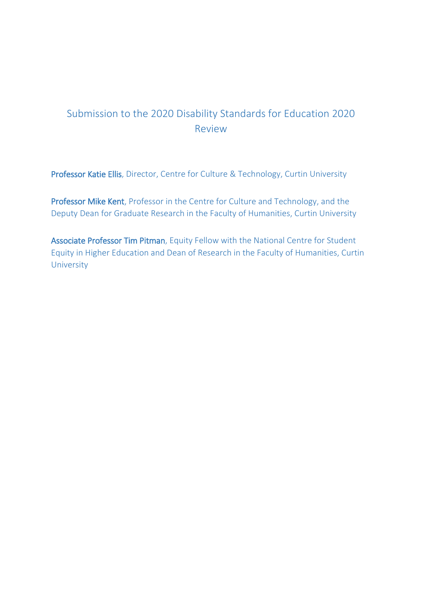# Submission to the 2020 Disability Standards for Education 2020 Review

Professor Katie Ellis, Director, Centre for Culture & Technology, Curtin University

Professor Mike Kent, Professor in the Centre for Culture and Technology, and the Deputy Dean for Graduate Research in the Faculty of Humanities, Curtin University

Associate Professor Tim Pitman, Equity Fellow with the National Centre for Student Equity in Higher Education and Dean of Research in the Faculty of Humanities, Curtin **University**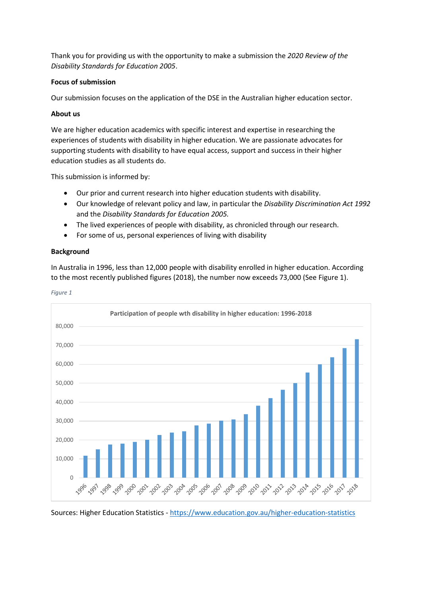Thank you for providing us with the opportunity to make a submission the *2020 Review of the Disability Standards for Education 2005*.

## **Focus of submission**

Our submission focuses on the application of the DSE in the Australian higher education sector.

## **About us**

We are higher education academics with specific interest and expertise in researching the experiences of students with disability in higher education. We are passionate advocates for supporting students with disability to have equal access, support and success in their higher education studies as all students do.

This submission is informed by:

- Our prior and current research into higher education students with disability.
- Our knowledge of relevant policy and law, in particular the *Disability Discrimination Act 1992* and the *Disability Standards for Education 2005.*
- The lived experiences of people with disability, as chronicled through our research.
- For some of us, personal experiences of living with disability

#### **Background**

In Australia in 1996, less than 12,000 people with disability enrolled in higher education. According to the most recently published figures (2018), the number now exceeds 73,000 (See [Figure 1\)](#page-1-0).



<span id="page-1-0"></span>*Figure 1*

Sources: Higher Education Statistics - <https://www.education.gov.au/higher-education-statistics>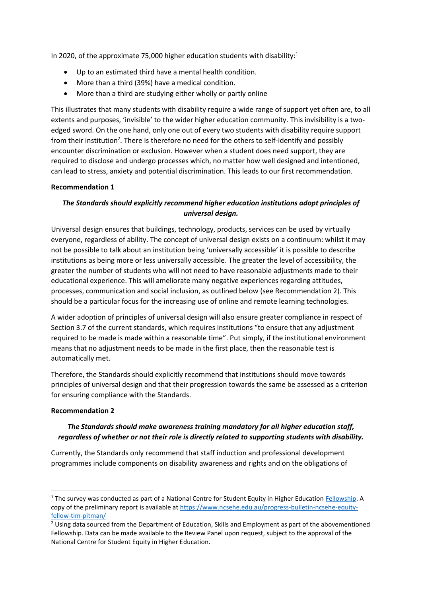In 2020, of the approximate 75,000 higher education students with disability:<sup>1</sup>

- Up to an estimated third have a mental health condition.
- More than a third (39%) have a medical condition.
- More than a third are studying either wholly or partly online

This illustrates that many students with disability require a wide range of support yet often are, to all extents and purposes, 'invisible' to the wider higher education community. This invisibility is a twoedged sword. On the one hand, only one out of every two students with disability require support from their institution<sup>2</sup>. There is therefore no need for the others to self-identify and possibly encounter discrimination or exclusion. However when a student does need support, they are required to disclose and undergo processes which, no matter how well designed and intentioned, can lead to stress, anxiety and potential discrimination. This leads to our first recommendation.

## **Recommendation 1**

# *The Standards should explicitly recommend higher education institutions adopt principles of universal design.*

Universal design ensures that buildings, technology, products, services can be used by virtually everyone, regardless of ability. The concept of universal design exists on a continuum: whilst it may not be possible to talk about an institution being 'universally accessible' it is possible to describe institutions as being more or less universally accessible. The greater the level of accessibility, the greater the number of students who will not need to have reasonable adjustments made to their educational experience. This will ameliorate many negative experiences regarding attitudes, processes, communication and social inclusion, as outlined below (see Recommendation 2). This should be a particular focus for the increasing use of online and remote learning technologies.

A wider adoption of principles of universal design will also ensure greater compliance in respect of Section 3.7 of the current standards, which requires institutions "to ensure that any adjustment required to be made is made within a reasonable time". Put simply, if the institutional environment means that no adjustment needs to be made in the first place, then the reasonable test is automatically met.

Therefore, the Standards should explicitly recommend that institutions should move towards principles of universal design and that their progression towards the same be assessed as a criterion for ensuring compliance with the Standards.

#### **Recommendation 2**

**.** 

# *The Standards should make awareness training mandatory for all higher education staff, regardless of whether or not their role is directly related to supporting students with disability.*

Currently, the Standards only recommend that staff induction and professional development programmes include components on disability awareness and rights and on the obligations of

<sup>&</sup>lt;sup>1</sup> The survey was conducted as part of a National Centre for Student Equity in Higher Education [Fellowship.](https://www.ncsehe.edu.au/2020-ncsehe-equity-fellow-tim-pitman/) A copy of the preliminary report is available at [https://www.ncsehe.edu.au/progress-bulletin-ncsehe-equity](https://www.ncsehe.edu.au/progress-bulletin-ncsehe-equity-fellow-tim-pitman/)[fellow-tim-pitman/](https://www.ncsehe.edu.au/progress-bulletin-ncsehe-equity-fellow-tim-pitman/)

<sup>&</sup>lt;sup>2</sup> Using data sourced from the Department of Education, Skills and Employment as part of the abovementioned Fellowship. Data can be made available to the Review Panel upon request, subject to the approval of the National Centre for Student Equity in Higher Education.